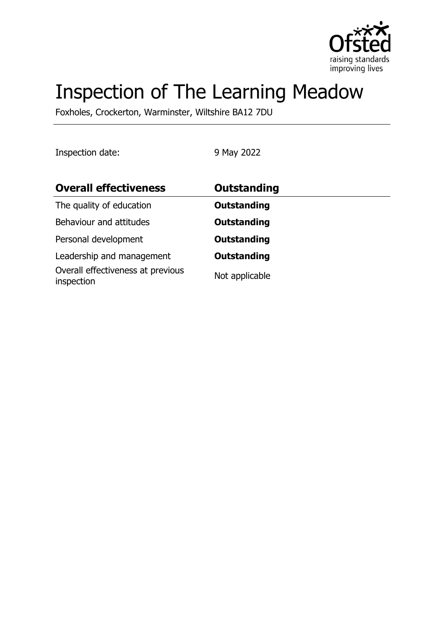

# Inspection of The Learning Meadow

Foxholes, Crockerton, Warminster, Wiltshire BA12 7DU

Inspection date: 9 May 2022

| <b>Overall effectiveness</b>                    | Outstanding        |
|-------------------------------------------------|--------------------|
| The quality of education                        | <b>Outstanding</b> |
| Behaviour and attitudes                         | <b>Outstanding</b> |
| Personal development                            | <b>Outstanding</b> |
| Leadership and management                       | <b>Outstanding</b> |
| Overall effectiveness at previous<br>inspection | Not applicable     |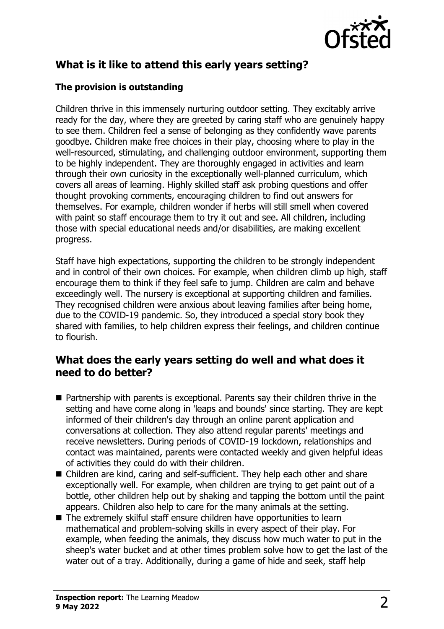

# **What is it like to attend this early years setting?**

#### **The provision is outstanding**

Children thrive in this immensely nurturing outdoor setting. They excitably arrive ready for the day, where they are greeted by caring staff who are genuinely happy to see them. Children feel a sense of belonging as they confidently wave parents goodbye. Children make free choices in their play, choosing where to play in the well-resourced, stimulating, and challenging outdoor environment, supporting them to be highly independent. They are thoroughly engaged in activities and learn through their own curiosity in the exceptionally well-planned curriculum, which covers all areas of learning. Highly skilled staff ask probing questions and offer thought provoking comments, encouraging children to find out answers for themselves. For example, children wonder if herbs will still smell when covered with paint so staff encourage them to try it out and see. All children, including those with special educational needs and/or disabilities, are making excellent progress.

Staff have high expectations, supporting the children to be strongly independent and in control of their own choices. For example, when children climb up high, staff encourage them to think if they feel safe to jump. Children are calm and behave exceedingly well. The nursery is exceptional at supporting children and families. They recognised children were anxious about leaving families after being home, due to the COVID-19 pandemic. So, they introduced a special story book they shared with families, to help children express their feelings, and children continue to flourish.

### **What does the early years setting do well and what does it need to do better?**

- $\blacksquare$  Partnership with parents is exceptional. Parents say their children thrive in the setting and have come along in 'leaps and bounds' since starting. They are kept informed of their children's day through an online parent application and conversations at collection. They also attend regular parents' meetings and receive newsletters. During periods of COVID-19 lockdown, relationships and contact was maintained, parents were contacted weekly and given helpful ideas of activities they could do with their children.
- Children are kind, caring and self-sufficient. They help each other and share exceptionally well. For example, when children are trying to get paint out of a bottle, other children help out by shaking and tapping the bottom until the paint appears. Children also help to care for the many animals at the setting.
- $\blacksquare$  The extremely skilful staff ensure children have opportunities to learn mathematical and problem-solving skills in every aspect of their play. For example, when feeding the animals, they discuss how much water to put in the sheep's water bucket and at other times problem solve how to get the last of the water out of a tray. Additionally, during a game of hide and seek, staff help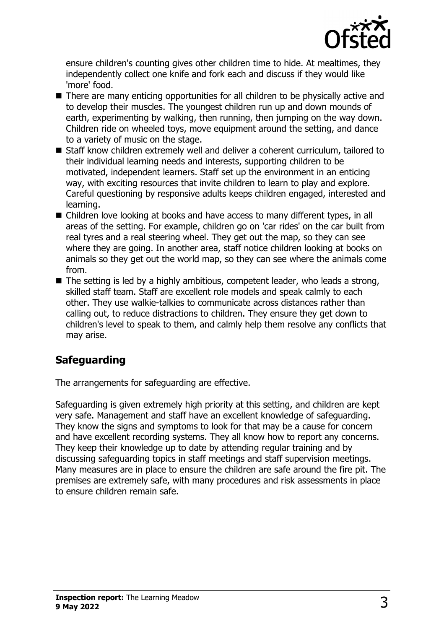

ensure children's counting gives other children time to hide. At mealtimes, they independently collect one knife and fork each and discuss if they would like 'more' food.

- $\blacksquare$  There are many enticing opportunities for all children to be physically active and to develop their muscles. The youngest children run up and down mounds of earth, experimenting by walking, then running, then jumping on the way down. Children ride on wheeled toys, move equipment around the setting, and dance to a variety of music on the stage.
- Staff know children extremely well and deliver a coherent curriculum, tailored to their individual learning needs and interests, supporting children to be motivated, independent learners. Staff set up the environment in an enticing way, with exciting resources that invite children to learn to play and explore. Careful questioning by responsive adults keeps children engaged, interested and learning.
- $\blacksquare$  Children love looking at books and have access to many different types, in all areas of the setting. For example, children go on 'car rides' on the car built from real tyres and a real steering wheel. They get out the map, so they can see where they are going. In another area, staff notice children looking at books on animals so they get out the world map, so they can see where the animals come from.
- $\blacksquare$  The setting is led by a highly ambitious, competent leader, who leads a strong, skilled staff team. Staff are excellent role models and speak calmly to each other. They use walkie-talkies to communicate across distances rather than calling out, to reduce distractions to children. They ensure they get down to children's level to speak to them, and calmly help them resolve any conflicts that may arise.

## **Safeguarding**

The arrangements for safeguarding are effective.

Safeguarding is given extremely high priority at this setting, and children are kept very safe. Management and staff have an excellent knowledge of safeguarding. They know the signs and symptoms to look for that may be a cause for concern and have excellent recording systems. They all know how to report any concerns. They keep their knowledge up to date by attending regular training and by discussing safeguarding topics in staff meetings and staff supervision meetings. Many measures are in place to ensure the children are safe around the fire pit. The premises are extremely safe, with many procedures and risk assessments in place to ensure children remain safe.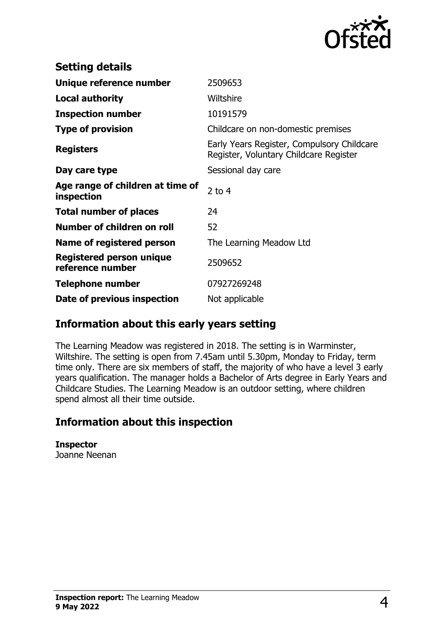

| <b>Setting details</b>                              |                                                                                      |
|-----------------------------------------------------|--------------------------------------------------------------------------------------|
| Unique reference number                             | 2509653                                                                              |
| <b>Local authority</b>                              | Wiltshire                                                                            |
| <b>Inspection number</b>                            | 10191579                                                                             |
| <b>Type of provision</b>                            | Childcare on non-domestic premises                                                   |
| <b>Registers</b>                                    | Early Years Register, Compulsory Childcare<br>Register, Voluntary Childcare Register |
| Day care type                                       | Sessional day care                                                                   |
| Age range of children at time of<br>inspection      | 2 to $4$                                                                             |
| <b>Total number of places</b>                       | 24                                                                                   |
| Number of children on roll                          | 52                                                                                   |
| Name of registered person                           | The Learning Meadow Ltd                                                              |
| <b>Registered person unique</b><br>reference number | 2509652                                                                              |
| <b>Telephone number</b>                             | 07927269248                                                                          |
| Date of previous inspection                         | Not applicable                                                                       |

## **Information about this early years setting**

The Learning Meadow was registered in 2018. The setting is in Warminster, Wiltshire. The setting is open from 7.45am until 5.30pm, Monday to Friday, term time only. There are six members of staff, the majority of who have a level 3 early years qualification. The manager holds a Bachelor of Arts degree in Early Years and Childcare Studies. The Learning Meadow is an outdoor setting, where children spend almost all their time outside.

## **Information about this inspection**

**Inspector** Joanne Neenan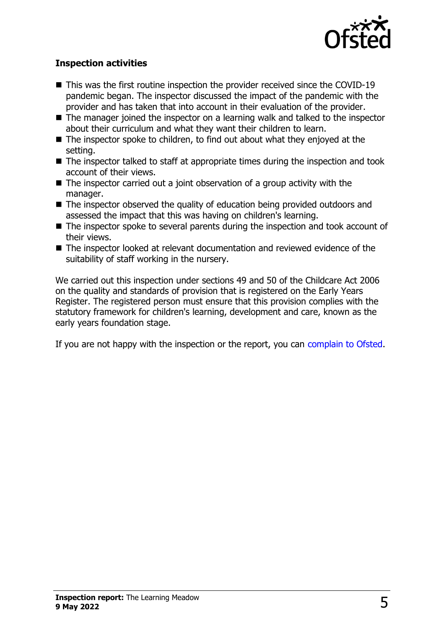

#### **Inspection activities**

- $\blacksquare$  This was the first routine inspection the provider received since the COVID-19 pandemic began. The inspector discussed the impact of the pandemic with the provider and has taken that into account in their evaluation of the provider.
- $\blacksquare$  The manager joined the inspector on a learning walk and talked to the inspector about their curriculum and what they want their children to learn.
- $\blacksquare$  The inspector spoke to children, to find out about what they enjoyed at the setting.
- $\blacksquare$  The inspector talked to staff at appropriate times during the inspection and took account of their views.
- $\blacksquare$  The inspector carried out a joint observation of a group activity with the manager.
- $\blacksquare$  The inspector observed the quality of education being provided outdoors and assessed the impact that this was having on children's learning.
- $\blacksquare$  The inspector spoke to several parents during the inspection and took account of their views.
- The inspector looked at relevant documentation and reviewed evidence of the suitability of staff working in the nursery.

We carried out this inspection under sections 49 and 50 of the Childcare Act 2006 on the quality and standards of provision that is registered on the Early Years Register. The registered person must ensure that this provision complies with the statutory framework for children's learning, development and care, known as the early years foundation stage.

If you are not happy with the inspection or the report, you can [complain to Ofsted](http://www.gov.uk/complain-ofsted-report).